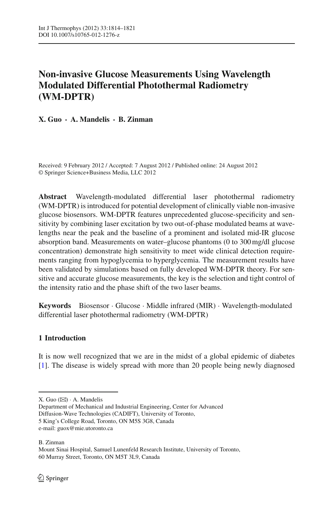# **Non-invasive Glucose Measurements Using Wavelength Modulated Differential Photothermal Radiometry (WM-DPTR)**

**X. Guo · A. Mandelis · B. Zinman**

Received: 9 February 2012 / Accepted: 7 August 2012 / Published online: 24 August 2012 © Springer Science+Business Media, LLC 2012

**Abstract** Wavelength-modulated differential laser photothermal radiometry (WM-DPTR) is introduced for potential development of clinically viable non-invasive glucose biosensors. WM-DPTR features unprecedented glucose-specificity and sensitivity by combining laser excitation by two out-of-phase modulated beams at wavelengths near the peak and the baseline of a prominent and isolated mid-IR glucose absorption band. Measurements on water–glucose phantoms (0 to 300 mg/dl glucose concentration) demonstrate high sensitivity to meet wide clinical detection requirements ranging from hypoglycemia to hyperglycemia. The measurement results have been validated by simulations based on fully developed WM-DPTR theory. For sensitive and accurate glucose measurements, the key is the selection and tight control of the intensity ratio and the phase shift of the two laser beams.

**Keywords** Biosensor · Glucose · Middle infrared (MIR) · Wavelength-modulated differential laser photothermal radiometry (WM-DPTR)

## **1 Introduction**

It is now well recognized that we are in the midst of a global epidemic of diabetes [\[1](#page-7-0)]. The disease is widely spread with more than 20 people being newly diagnosed

Mount Sinai Hospital, Samuel Lunenfeld Research Institute, University of Toronto, 60 Murray Street, Toronto, ON M5T 3L9, Canada

X. Guo  $(\boxtimes)$  · A. Mandelis

Department of Mechanical and Industrial Engineering, Center for Advanced Diffusion-Wave Technologies (CADIFT), University of Toronto, 5 King's College Road, Toronto, ON M5S 3G8, Canada

e-mail: guox@mie.utoronto.ca

B. Zinman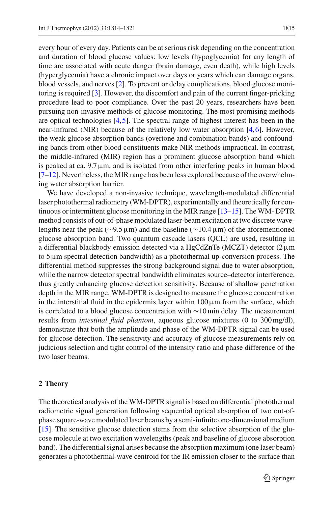every hour of every day. Patients can be at serious risk depending on the concentration and duration of blood glucose values: low levels (hypoglycemia) for any length of time are associated with acute danger (brain damage, even death), while high levels (hyperglycemia) have a chronic impact over days or years which can damage organs, blood vessels, and nerves [\[2\]](#page-7-1). To prevent or delay complications, blood glucose monitoring is required [\[3](#page-7-2)]. However, the discomfort and pain of the current finger-pricking procedure lead to poor compliance. Over the past 20 years, researchers have been pursuing non-invasive methods of glucose monitoring. The most promising methods are optical technologies [\[4,](#page-7-3)[5\]](#page-7-4). The spectral range of highest interest has been in the near-infrared (NIR) because of the relatively low water absorption [\[4,](#page-7-3)[6\]](#page-7-5). However, the weak glucose absorption bands (overtone and combination bands) and confounding bands from other blood constituents make NIR methods impractical. In contrast, the middle-infrared (MIR) region has a prominent glucose absorption band which is peaked at ca.  $9.7\,\mu$ m, and is isolated from other interfering peaks in human blood  $[7-12]$  $[7-12]$ . Nevertheless, the MIR range has been less explored because of the overwhelming water absorption barrier.

We have developed a non-invasive technique, wavelength-modulated differential laser photothermal radiometry (WM-DPTR), experimentally and theoretically for continuous or intermittent glucose monitoring in the MIR range [\[13](#page-7-8)[–15](#page-7-9)]. The WM- DPTR method consists of out-of-phase modulated laser-beam excitation at two discrete wavelengths near the peak (∼9.5µm) and the baseline (∼10.4µm) of the aforementioned glucose absorption band. Two quantum cascade lasers (QCL) are used, resulting in a differential blackbody emission detected via a HgCdZnTe (MCZT) detector  $(2 \mu m)$ to  $5 \mu$ m spectral detection bandwidth) as a photothermal up-conversion process. The differential method suppresses the strong background signal due to water absorption, while the narrow detector spectral bandwidth eliminates source–detector interference, thus greatly enhancing glucose detection sensitivity. Because of shallow penetration depth in the MIR range, WM-DPTR is designed to measure the glucose concentration in the interstitial fluid in the epidermis layer within  $100 \mu m$  from the surface, which is correlated to a blood glucose concentration with ∼10 min delay. The measurement results from *intestinal fluid phantom*, aqueous glucose mixtures (0 to 300 mg/dl), demonstrate that both the amplitude and phase of the WM-DPTR signal can be used for glucose detection. The sensitivity and accuracy of glucose measurements rely on judicious selection and tight control of the intensity ratio and phase difference of the two laser beams.

### **2 Theory**

The theoretical analysis of the WM-DPTR signal is based on differential photothermal radiometric signal generation following sequential optical absorption of two out-ofphase square-wave modulated laser beams by a semi-infinite one-dimensional medium [\[15](#page-7-9)]. The sensitive glucose detection stems from the selective absorption of the glucose molecule at two excitation wavelengths (peak and baseline of glucose absorption band). The differential signal arises because the absorption maximum (one laser beam) generates a photothermal-wave centroid for the IR emission closer to the surface than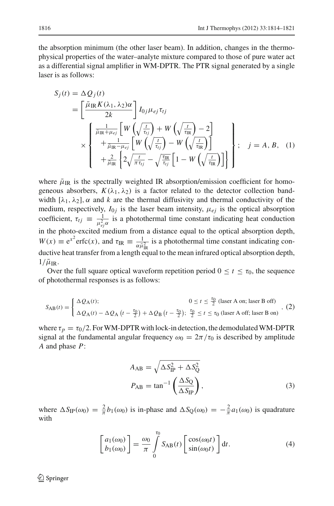the absorption minimum (the other laser beam). In addition, changes in the thermophysical properties of the water–analyte mixture compared to those of pure water act as a differential signal amplifier in WM-DPTR. The PTR signal generated by a single laser is as follows:

$$
S_j(t) = \Delta Q_j(t)
$$
  
\n
$$
= \left[\frac{\bar{\mu}_{IR} K(\lambda_1, \lambda_2) \alpha}{2k} \right] I_{0j} \mu_{ej} \tau_{tj}
$$
  
\n
$$
\times \left\{ \begin{array}{l} \frac{1}{\bar{\mu}_{IR} + \mu_{ej}} \left[ W \left( \sqrt{\frac{t}{\tau_{tj}}} \right) + W \left( \sqrt{\frac{t}{\tau_{IR}}} \right) - 2 \right] \\ + \frac{1}{\bar{\mu}_{IR} - \mu_{ej}} \left[ W \left( \sqrt{\frac{t}{\tau_{tj}}} \right) - W \left( \sqrt{\frac{t}{\tau_{IR}}} \right) \right] \\ + \frac{2}{\bar{\mu}_{IR}} \left\{ 2 \sqrt{\frac{t}{\pi \tau_{tj}}} - \sqrt{\frac{\tau_{IR}}{\tau_{tj}}} \left[ 1 - W \left( \sqrt{\frac{t}{\tau_{IR}}} \right) \right] \right\} \end{array} \right\}; \quad j = A, B, (1)
$$

where  $\bar{\mu}_{IR}$  is the spectrally weighted IR absorption/emission coefficient for homogeneous absorbers,  $K(\lambda_1, \lambda_2)$  is a factor related to the detector collection bandwidth  $[\lambda_1, \lambda_2]$ ,  $\alpha$  and  $k$  are the thermal diffusivity and thermal conductivity of the medium, respectively,  $I_{0j}$  is the laser beam intensity,  $\mu_{ej}$  is the optical absorption coefficient,  $\tau_{tj} \equiv \frac{1}{\mu_{ej}^2 \alpha}$  is a photothermal time constant indicating heat conduction in the photo-excited medium from a distance equal to the optical absorption depth,  $W(x) \equiv e^{x^2} \text{erfc}(x)$ , and  $\tau_{IR} \equiv \frac{1}{\alpha \bar{\mu}_{IR}^2}$  is a photothermal time constant indicating conductive heat transfer from a length equal to the mean infrared optical absorption depth,  $1/\bar{\mu}_\text{IR}$ .

Over the full square optical waveform repetition period  $0 \le t \le \tau_0$ , the sequence of photothermal responses is as follows:

$$
S_{AB}(t) = \begin{cases} \Delta Q_A(t); & 0 \le t \le \frac{\tau_0}{2} \text{ (laser A on; laser B off)} \\ \Delta Q_A(t) - \Delta Q_A \left(t - \frac{\tau_0}{2}\right) + \Delta Q_B \left(t - \frac{\tau_0}{2}\right); & \frac{\tau_0}{2} \le t \le \tau_0 \text{ (laser A off; laser B on)} \end{cases}, (2)
$$

<span id="page-2-0"></span>where  $\tau_p = \tau_0/2$ . For WM-DPTR with lock-in detection, the demodulated WM-DPTR signal at the fundamental angular frequency  $\omega_0 = 2\pi/\tau_0$  is described by amplitude *A* and phase *P*:

$$
A_{AB} = \sqrt{\Delta S_{IP}^2 + \Delta S_{Q}^2}
$$
  
\n
$$
P_{AB} = \tan^{-1} \left(\frac{\Delta S_{Q}}{\Delta S_{IP}}\right),
$$
\n(3)

where  $\Delta S_{IP}(\omega_0) = \frac{2}{\pi} b_1(\omega_0)$  is in-phase and  $\Delta S_Q(\omega_0) = -\frac{2}{\pi} a_1(\omega_0)$  is quadrature with

$$
\begin{bmatrix} a_1(\omega_0) \\ b_1(\omega_0) \end{bmatrix} = \frac{\omega_0}{\pi} \int_0^{\tau_0} S_{AB}(t) \begin{bmatrix} \cos(\omega_0 t) \\ \sin(\omega_0 t) \end{bmatrix} dt.
$$
 (4)

<sup>2</sup> Springer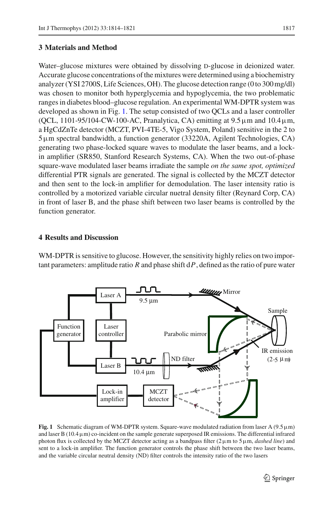Water–glucose mixtures were obtained by dissolving D-glucose in deionized water. Accurate glucose concentrations of the mixtures were determined using a biochemistry analyzer (YSI 2700S, Life Sciences, OH). The glucose detection range (0 to 300 mg/dl) was chosen to monitor both hyperglycemia and hypoglycemia, the two problematic ranges in diabetes blood–glucose regulation. An experimental WM-DPTR system was developed as shown in Fig. [1.](#page-3-0) The setup consisted of two QCLs and a laser controller (QCL, 1101-95/104-CW-100-AC, Pranalytica, CA) emitting at  $9.5 \,\mu$ m and  $10.4 \,\mu$ m, a HgCdZnTe detector (MCZT, PVI-4TE-5, Vigo System, Poland) sensitive in the 2 to 5µm spectral bandwidth, a function generator (33220A, Agilent Technologies, CA) generating two phase-locked square waves to modulate the laser beams, and a lockin amplifier (SR850, Stanford Research Systems, CA). When the two out-of-phase square-wave modulated laser beams irradiate the sample *on the same spot, optimized* differential PTR signals are generated. The signal is collected by the MCZT detector and then sent to the lock-in amplifier for demodulation. The laser intensity ratio is controlled by a motorized variable circular nuetral density filter (Reynard Corp, CA) in front of laser B, and the phase shift between two laser beams is controlled by the function generator.

## **4 Results and Discussion**

WM-DPTR is sensitive to glucose. However, the sensitivity highly relies on two important parameters: amplitude ratio *R* and phase shift d*P*, defined as the ratio of pure water



<span id="page-3-0"></span>**Fig. 1** Schematic diagram of WM-DPTR system. Square-wave modulated radiation from laser A ( $9.5 \mu m$ ) and laser B  $(10.4 \,\mu\text{m})$  co-incident on the sample generate superposed IR emissions. The differential infrared photon flux is collected by the MCZT detector acting as a bandpass filter (2µm to 5µm, *dashed line*) and sent to a lock-in amplifier. The function generator controls the phase shift between the two laser beams, and the variable circular neutral density (ND) filter controls the intensity ratio of the two lasers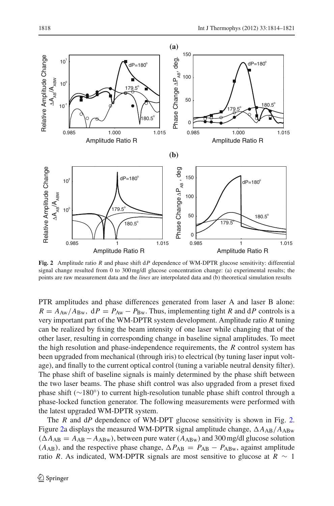

<span id="page-4-0"></span>**Fig. 2** Amplitude ratio *R* and phase shift d*P* dependence of WM-DPTR glucose sensitivity: differential signal change resulted from 0 to 300 mg/dl glucose concentration change: (a) experimental results; the points are raw measurement data and the *lines* are interpolated data and (b) theoretical simulation results

PTR amplitudes and phase differences generated from laser A and laser B alone:  $R = A_{\text{Aw}}/A_{\text{Bw}}$ ,  $dP = P_{\text{Aw}} - P_{\text{Bw}}$ . Thus, implementing tight *R* and  $dP$  controls is a very important part of the WM-DPTR system development. Amplitude ratio *R* tuning can be realized by fixing the beam intensity of one laser while changing that of the other laser, resulting in corresponding change in baseline signal amplitudes. To meet the high resolution and phase-independence requirements, the *R* control system has been upgraded from mechanical (through iris) to electrical (by tuning laser input voltage), and finally to the current optical control (tuning a variable neutral density filter). The phase shift of baseline signals is mainly determined by the phase shift between the two laser beams. The phase shift control was also upgraded from a preset fixed phase shift (∼180◦) to current high-resolution tunable phase shift control through a phase-locked function generator. The following measurements were performed with the latest upgraded WM-DPTR system.

The *R* and d*P* dependence of WM-DPT glucose sensitivity is shown in Fig. [2.](#page-4-0) Figure [2a](#page-4-0) displays the measured WM-DPTR signal amplitude change,  $\Delta A_{AB}/A_{ABw}$  $(AA_{AB} = A_{AB} - A_{ABw})$ , between pure water  $(A_{ABw})$  and 300 mg/dl glucose solution  $(A_{AB})$ , and the respective phase change,  $\Delta P_{AB} = P_{AB} - P_{ABw}$ , against amplitude ratio *R*. As indicated, WM-DPTR signals are most sensitive to glucose at  $R \sim 1$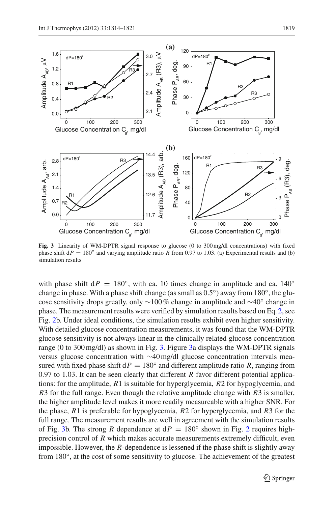

<span id="page-5-0"></span>**Fig. 3** Linearity of WM-DPTR signal response to glucose (0 to 300 mg/dl concentrations) with fixed phase shift  $dP = 180°$  and varying amplitude ratio *R* from 0.97 to 1.03. (a) Experimental results and (b) simulation results

with phase shift  $dP = 180°$ , with ca. 10 times change in amplitude and ca. 140° change in phase. With a phase shift change (as small as  $0.5°$ ) away from  $180°$ , the glucose sensitivity drops greatly, only ∼100 % change in amplitude and ∼40◦ change in phase. The measurement results were verified by simulation results based on Eq. [2,](#page-2-0) see Fig. [2b](#page-4-0). Under ideal conditions, the simulation results exhibit even higher sensitivity. With detailed glucose concentration measurements, it was found that the WM-DPTR glucose sensitivity is not always linear in the clinically related glucose concentration range (0 to 300 mg/dl) as shown in Fig. [3.](#page-5-0) Figure [3a](#page-5-0) displays the WM-DPTR signals versus glucose concentration with ∼40 mg/dl glucose concentration intervals measured with fixed phase shift  $dP = 180°$  and different amplitude ratio *R*, ranging from 0.97 to 1.03. It can be seen clearly that different *R* favor different potential applications: for the amplitude, *R*1 is suitable for hyperglycemia, *R*2 for hypoglycemia, and *R*3 for the full range. Even though the relative amplitude change with *R*3 is smaller, the higher amplitude level makes it more readily measureable with a higher SNR. For the phase, *R*1 is preferable for hypoglycemia, *R*2 for hyperglycemia, and *R*3 for the full range. The measurement results are well in agreement with the simulation results of Fig. [3b](#page-5-0). The strong *R* dependence at  $dP = 180^\circ$  shown in Fig. [2](#page-4-0) requires highprecision control of *R* which makes accurate measurements extremely difficult, even impossible. However, the *R*-dependence is lessened if the phase shift is slightly away from 180◦, at the cost of some sensitivity to glucose. The achievement of the greatest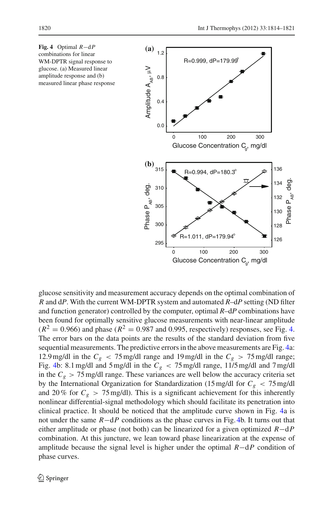

<span id="page-6-0"></span>

glucose sensitivity and measurement accuracy depends on the optimal combination of *R* and d*P*. With the current WM-DPTR system and automated *R*–d*P* setting (ND filter and function generator) controlled by the computer, optimal *R*–d*P* combinations have been found for optimally sensitive glucose measurements with near-linear amplitude  $(R^2 = 0.966)$  and phase  $(R^2 = 0.987$  and 0.995, respectively) responses, see Fig. [4.](#page-6-0) The error bars on the data points are the results of the standard deviation from five sequential measurements. The predictive errors in the above measurements are Fig. [4a](#page-6-0): 12.9 mg/dl in the  $C_g < 75$  mg/dl range and 19 mg/dl in the  $C_g > 75$  mg/dl range; Fig. [4b](#page-6-0): 8.1 mg/dl and 5 mg/dl in the  $C_g < 75$  mg/dl range, 11/5 mg/dl and 7 mg/dl in the  $C_g > 75$  mg/dl range. These variances are well below the accuracy criteria set by the International Organization for Standardization (15 mg/dl for  $C_g < 75$  mg/dl and 20% for  $C_g > 75$  mg/dl). This is a significant achievement for this inherently nonlinear differential-signal methodology which should facilitate its penetration into clinical practice. It should be noticed that the amplitude curve shown in Fig. [4a](#page-6-0) is not under the same *R*−d*P* conditions as the phase curves in Fig. [4b](#page-6-0). It turns out that either amplitude or phase (not both) can be linearized for a given optimized *R*−d*P* combination. At this juncture, we lean toward phase linearization at the expense of amplitude because the signal level is higher under the optimal *R*−d*P* condition of phase curves.